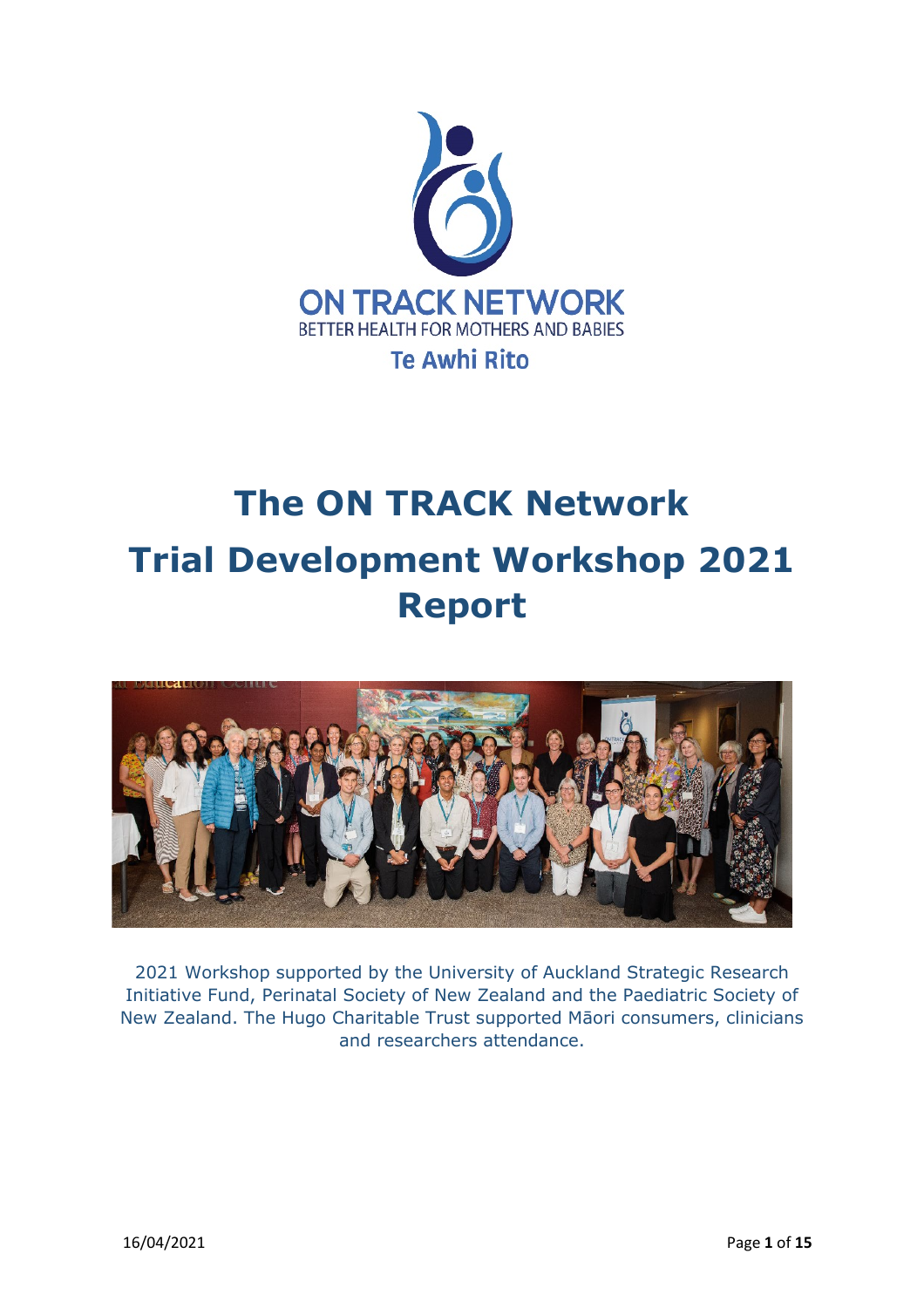

# **The ON TRACK Network Trial Development Workshop 2021 Report**



2021 Workshop supported by the University of Auckland Strategic Research Initiative Fund, Perinatal Society of New Zealand and the Paediatric Society of New Zealand. The Hugo Charitable Trust supported Māori consumers, clinicians and researchers attendance.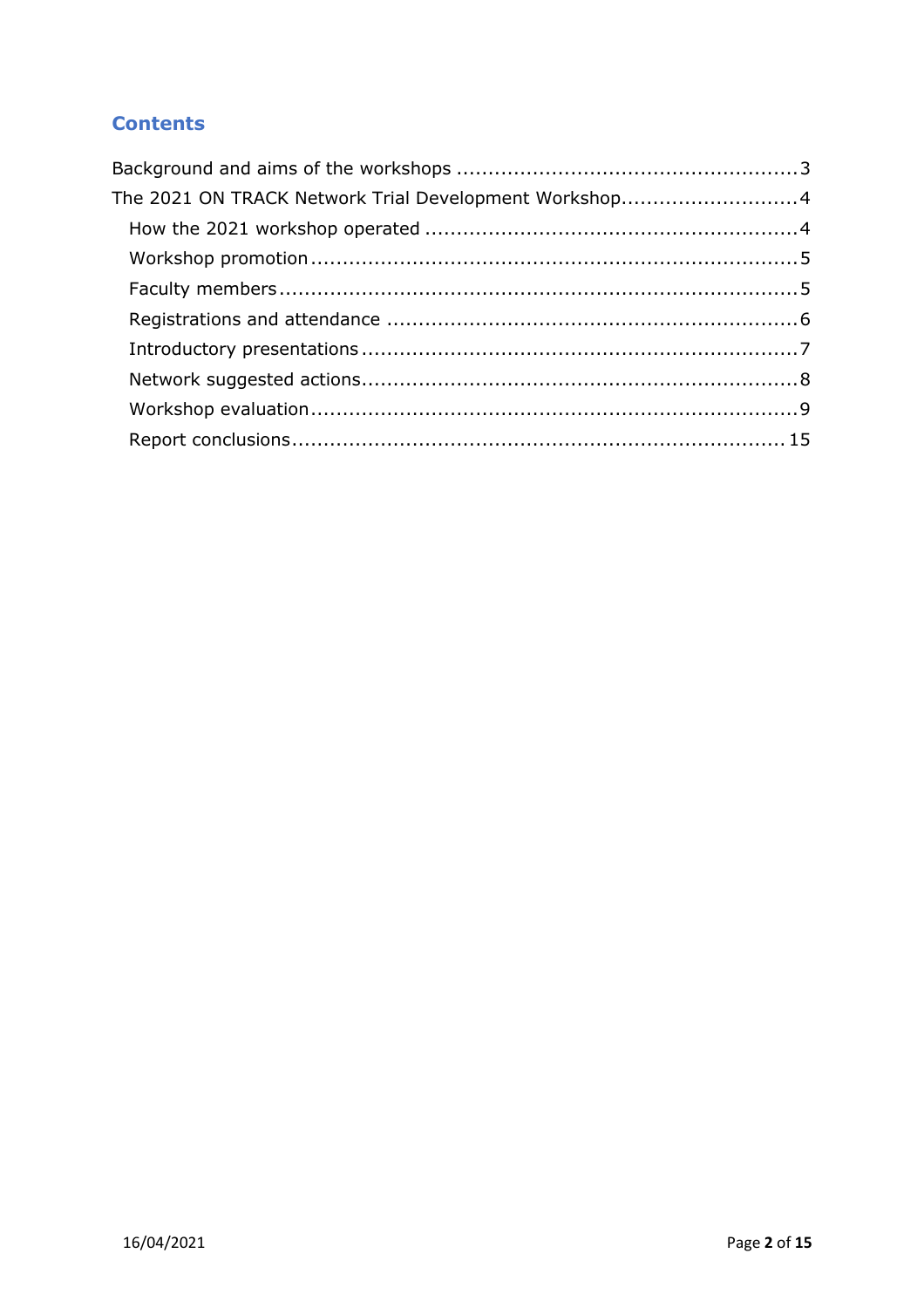## **Contents**

| The 2021 ON TRACK Network Trial Development Workshop4 |  |
|-------------------------------------------------------|--|
|                                                       |  |
|                                                       |  |
|                                                       |  |
|                                                       |  |
|                                                       |  |
|                                                       |  |
|                                                       |  |
|                                                       |  |
|                                                       |  |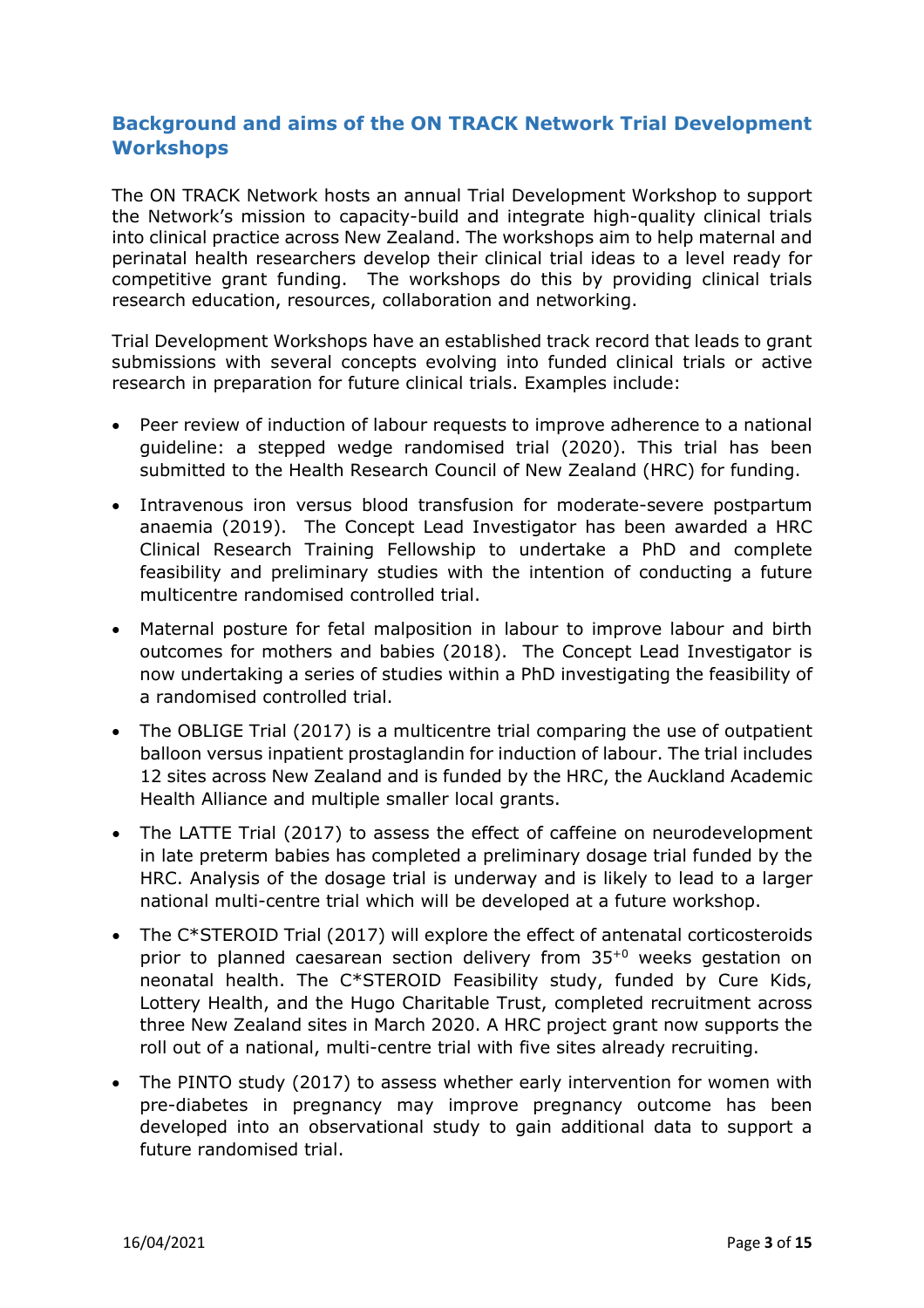## **Background and aims of the ON TRACK Network Trial Development Workshops**

The ON TRACK Network hosts an annual Trial Development Workshop to support the Network's mission to capacity-build and integrate high-quality clinical trials into clinical practice across New Zealand. The workshops aim to help maternal and perinatal health researchers develop their clinical trial ideas to a level ready for competitive grant funding. The workshops do this by providing clinical trials research education, resources, collaboration and networking.

Trial Development Workshops have an established track record that leads to grant submissions with several concepts evolving into funded clinical trials or active research in preparation for future clinical trials. Examples include:

- Peer review of induction of labour requests to improve adherence to a national guideline: a stepped wedge randomised trial (2020). This trial has been submitted to the Health Research Council of New Zealand (HRC) for funding.
- Intravenous iron versus blood transfusion for moderate-severe postpartum anaemia (2019). The Concept Lead Investigator has been awarded a HRC Clinical Research Training Fellowship to undertake a PhD and complete feasibility and preliminary studies with the intention of conducting a future multicentre randomised controlled trial.
- Maternal posture for fetal malposition in labour to improve labour and birth outcomes for mothers and babies (2018). The Concept Lead Investigator is now undertaking a series of studies within a PhD investigating the feasibility of a randomised controlled trial.
- The OBLIGE Trial (2017) is a multicentre trial comparing the use of outpatient balloon versus inpatient prostaglandin for induction of labour. The trial includes 12 sites across New Zealand and is funded by the HRC, the Auckland Academic Health Alliance and multiple smaller local grants.
- The LATTE Trial (2017) to assess the effect of caffeine on neurodevelopment in late preterm babies has completed a preliminary dosage trial funded by the HRC. Analysis of the dosage trial is underway and is likely to lead to a larger national multi-centre trial which will be developed at a future workshop.
- The C\*STEROID Trial (2017) will explore the effect of antenatal corticosteroids prior to planned caesarean section delivery from 35+0 weeks gestation on neonatal health. The C\*STEROID Feasibility study, funded by Cure Kids, Lottery Health, and the Hugo Charitable Trust, completed recruitment across three New Zealand sites in March 2020. A HRC project grant now supports the roll out of a national, multi-centre trial with five sites already recruiting.
- The PINTO study (2017) to assess whether early intervention for women with pre-diabetes in pregnancy may improve pregnancy outcome has been developed into an observational study to gain additional data to support a future randomised trial.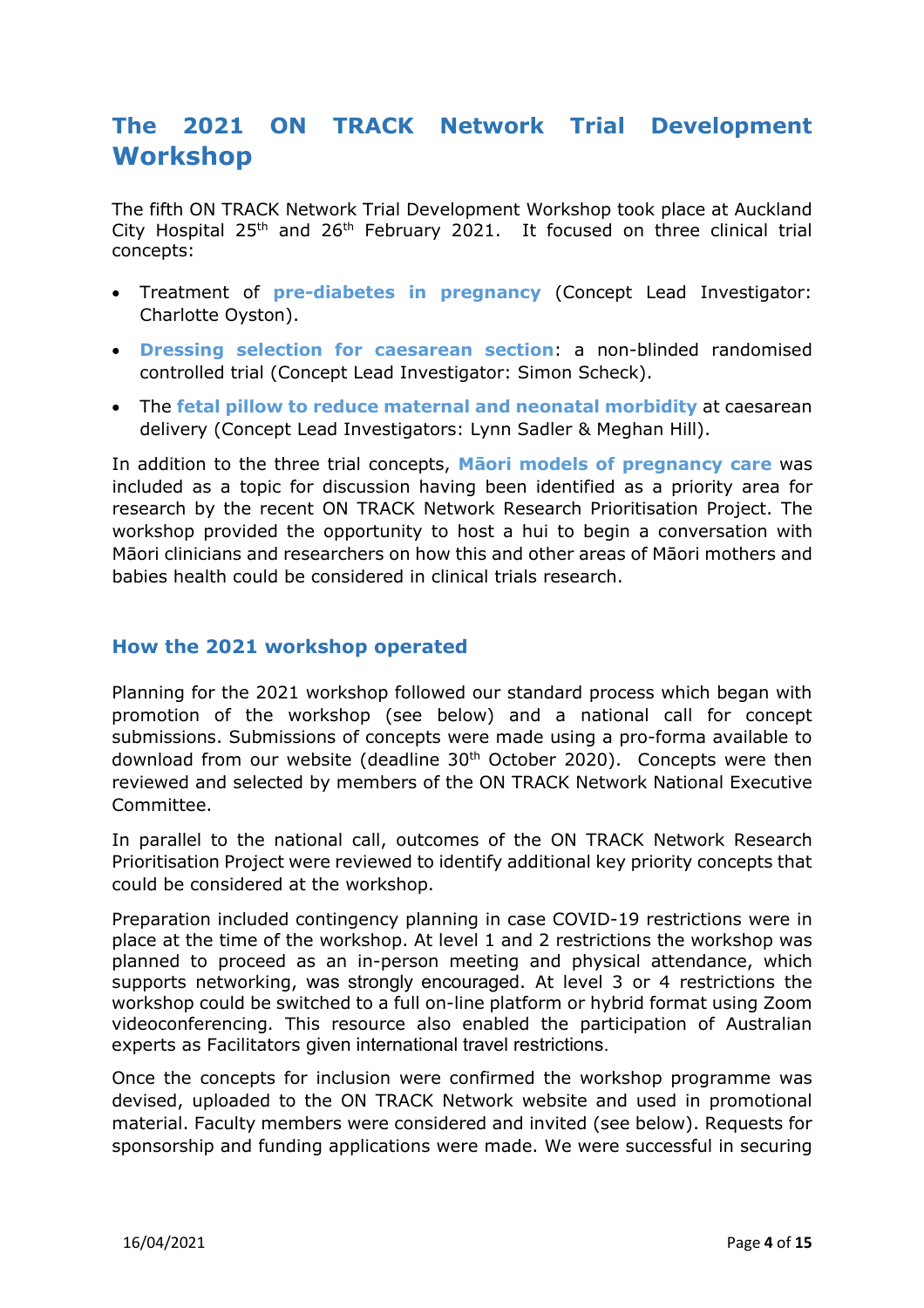# **The 2021 ON TRACK Network Trial Development Workshop**

The fifth ON TRACK Network Trial Development Workshop took place at Auckland City Hospital  $25<sup>th</sup>$  and  $26<sup>th</sup>$  February 2021. It focused on three clinical trial concepts:

- Treatment of **pre-diabetes in pregnancy** (Concept Lead Investigator: Charlotte Oyston).
- **Dressing selection for caesarean section**: a non-blinded randomised controlled trial (Concept Lead Investigator: Simon Scheck).
- The **fetal pillow to reduce maternal and neonatal morbidity** at caesarean delivery (Concept Lead Investigators: Lynn Sadler & Meghan Hill).

In addition to the three trial concepts, **Māori models of pregnancy care** was included as a topic for discussion having been identified as a priority area for research by the recent ON TRACK Network Research Prioritisation Project. The workshop provided the opportunity to host a hui to begin a conversation with Māori clinicians and researchers on how this and other areas of Māori mothers and babies health could be considered in clinical trials research.

## **How the 2021 workshop operated**

Planning for the 2021 workshop followed our standard process which began with promotion of the workshop (see below) and a national call for concept submissions. Submissions of concepts were made using a pro-forma available to download from our website (deadline  $30<sup>th</sup>$  October 2020). Concepts were then reviewed and selected by members of the ON TRACK Network National Executive Committee.

In parallel to the national call, outcomes of the ON TRACK Network Research Prioritisation Project were reviewed to identify additional key priority concepts that could be considered at the workshop.

Preparation included contingency planning in case COVID-19 restrictions were in place at the time of the workshop. At level 1 and 2 restrictions the workshop was planned to proceed as an in-person meeting and physical attendance, which supports networking, was strongly encouraged. At level 3 or 4 restrictions the workshop could be switched to a full on-line platform or hybrid format using Zoom videoconferencing. This resource also enabled the participation of Australian experts as Facilitators given international travel restrictions.

Once the concepts for inclusion were confirmed the workshop programme was devised, uploaded to the ON TRACK Network website and used in promotional material. Faculty members were considered and invited (see below). Requests for sponsorship and funding applications were made. We were successful in securing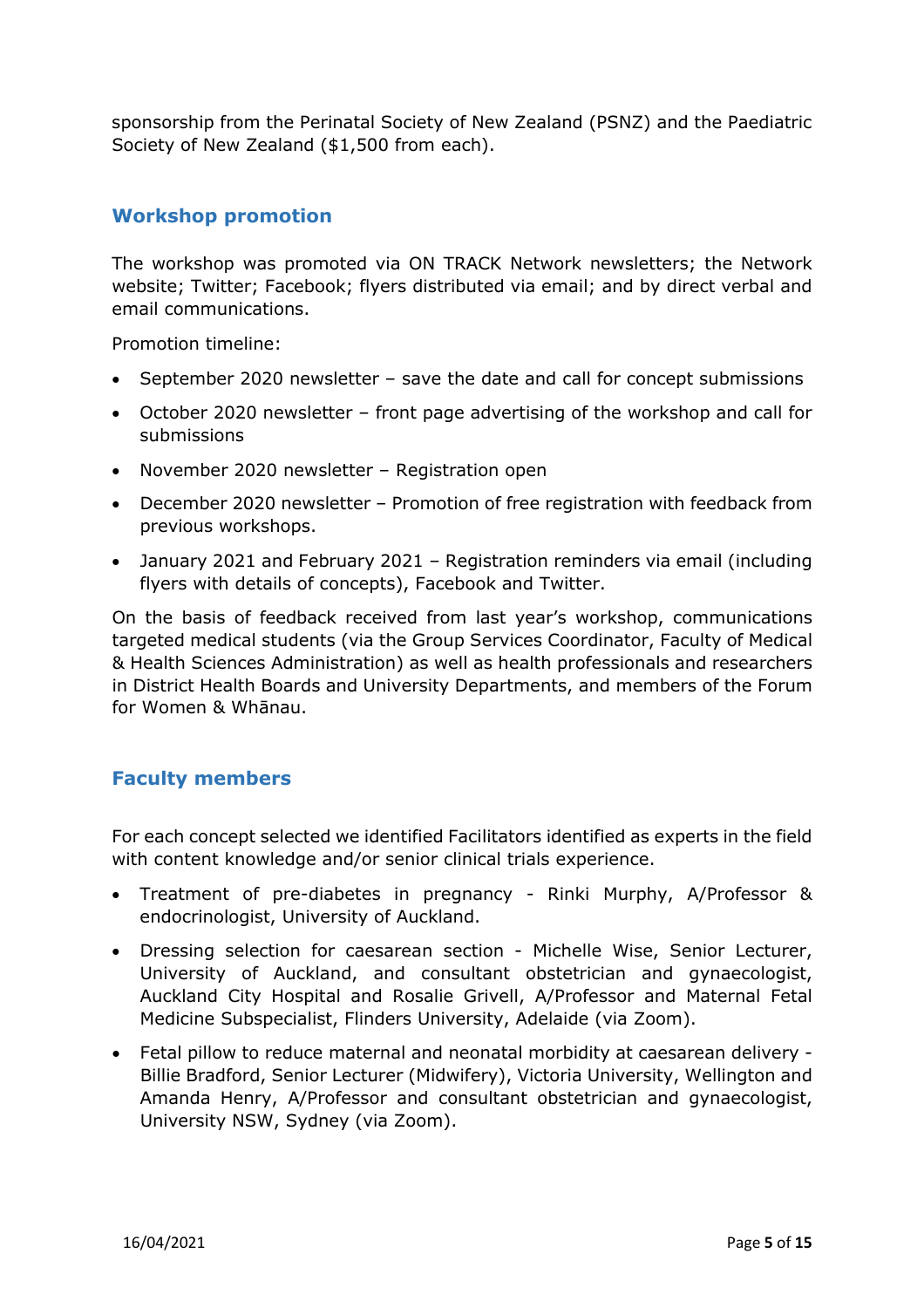sponsorship from the Perinatal Society of New Zealand (PSNZ) and the Paediatric Society of New Zealand (\$1,500 from each).

## **Workshop promotion**

The workshop was promoted via ON TRACK Network newsletters; the Network website; Twitter; Facebook; flyers distributed via email; and by direct verbal and email communications.

Promotion timeline:

- September 2020 newsletter save the date and call for concept submissions
- October 2020 newsletter front page advertising of the workshop and call for submissions
- November 2020 newsletter Registration open
- December 2020 newsletter Promotion of free registration with feedback from previous workshops.
- January 2021 and February 2021 Registration reminders via email (including flyers with details of concepts), Facebook and Twitter.

On the basis of feedback received from last year's workshop, communications targeted medical students (via the Group Services Coordinator, Faculty of Medical & Health Sciences Administration) as well as health professionals and researchers in District Health Boards and University Departments, and members of the Forum for Women & Whānau.

## **Faculty members**

For each concept selected we identified Facilitators identified as experts in the field with content knowledge and/or senior clinical trials experience.

- Treatment of pre-diabetes in pregnancy Rinki Murphy, A/Professor & endocrinologist, University of Auckland.
- Dressing selection for caesarean section Michelle Wise, Senior Lecturer, University of Auckland, and consultant obstetrician and gynaecologist, Auckland City Hospital and Rosalie Grivell, A/Professor and Maternal Fetal Medicine Subspecialist, Flinders University, Adelaide (via Zoom).
- Fetal pillow to reduce maternal and neonatal morbidity at caesarean delivery Billie Bradford, Senior Lecturer (Midwifery), Victoria University, Wellington and Amanda Henry, A/Professor and consultant obstetrician and gynaecologist, University NSW, Sydney (via Zoom).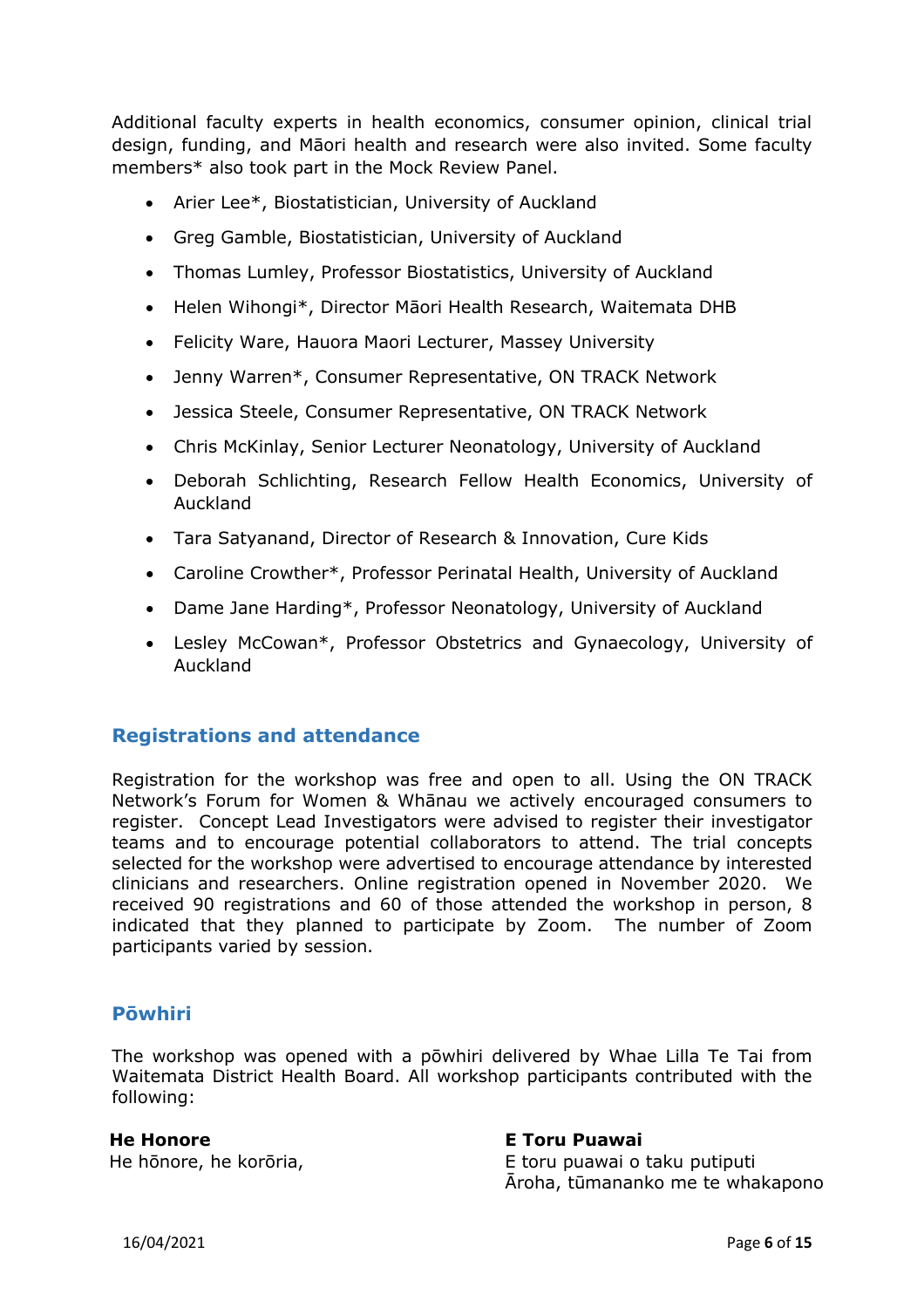Additional faculty experts in health economics, consumer opinion, clinical trial design, funding, and Māori health and research were also invited. Some faculty members\* also took part in the Mock Review Panel.

- Arier Lee\*, Biostatistician, University of Auckland
- Greg Gamble, Biostatistician, University of Auckland
- Thomas Lumley, Professor Biostatistics, University of Auckland
- Helen Wihongi\*, Director Māori Health Research, Waitemata DHB
- Felicity Ware, Hauora Maori Lecturer, Massey University
- Jenny Warren\*, Consumer Representative, ON TRACK Network
- Jessica Steele, Consumer Representative, ON TRACK Network
- Chris McKinlay, Senior Lecturer Neonatology, University of Auckland
- Deborah Schlichting, Research Fellow Health Economics, University of Auckland
- Tara Satyanand, Director of Research & Innovation, Cure Kids
- Caroline Crowther\*, Professor Perinatal Health, University of Auckland
- Dame Jane Harding\*, Professor Neonatology, University of Auckland
- Lesley McCowan\*, Professor Obstetrics and Gynaecology, University of Auckland

## **Registrations and attendance**

Registration for the workshop was free and open to all. Using the ON TRACK Network's Forum for Women & Whānau we actively encouraged consumers to register. Concept Lead Investigators were advised to register their investigator teams and to encourage potential collaborators to attend. The trial concepts selected for the workshop were advertised to encourage attendance by interested clinicians and researchers. Online registration opened in November 2020. We received 90 registrations and 60 of those attended the workshop in person, 8 indicated that they planned to participate by Zoom. The number of Zoom participants varied by session.

## **Pōwhiri**

The workshop was opened with a pōwhiri delivered by Whae Lilla Te Tai from Waitemata District Health Board. All workshop participants contributed with the following:

#### **He Honore**

He hōnore, he korōria,

#### **E Toru Puawai**

E toru puawai o taku putiputi Āroha, tūmananko me te whakapono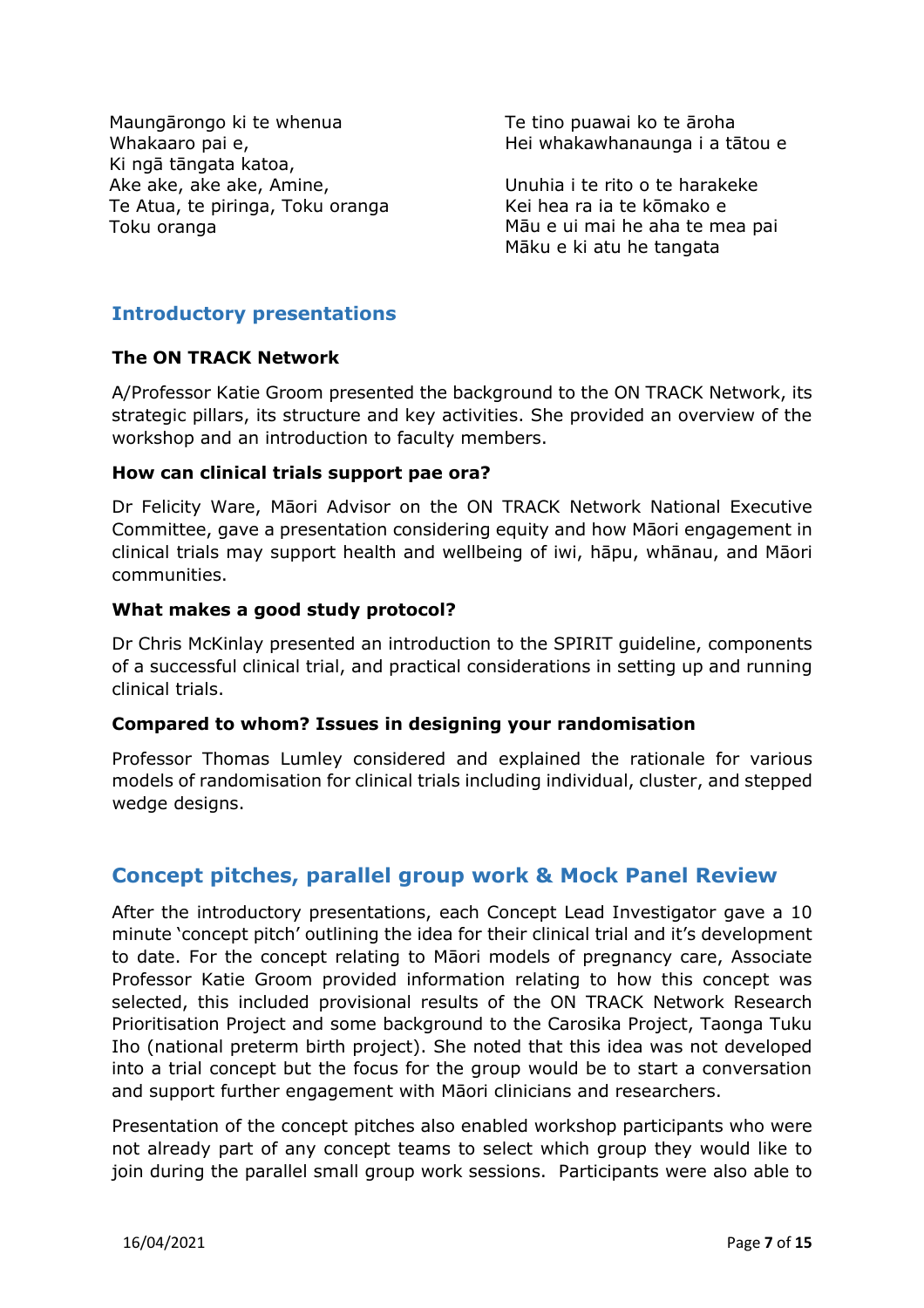Maungārongo ki te whenua Whakaaro pai e, Ki ngā tāngata katoa, Ake ake, ake ake, Amine, Te Atua, te piringa, Toku oranga Toku oranga

Te tino puawai ko te āroha Hei whakawhanaunga i a tātou e

Unuhia i te rito o te harakeke Kei hea ra ia te kōmako e Māu e ui mai he aha te mea pai Māku e ki atu he tangata

## **Introductory presentations**

#### **The ON TRACK Network**

A/Professor Katie Groom presented the background to the ON TRACK Network, its strategic pillars, its structure and key activities. She provided an overview of the workshop and an introduction to faculty members.

#### **How can clinical trials support pae ora?**

Dr Felicity Ware, Māori Advisor on the ON TRACK Network National Executive Committee, gave a presentation considering equity and how Māori engagement in clinical trials may support health and wellbeing of iwi, hāpu, whānau, and Māori communities.

#### **What makes a good study protocol?**

Dr Chris McKinlay presented an introduction to the SPIRIT guideline, components of a successful clinical trial, and practical considerations in setting up and running clinical trials.

#### **Compared to whom? Issues in designing your randomisation**

Professor Thomas Lumley considered and explained the rationale for various models of randomisation for clinical trials including individual, cluster, and stepped wedge designs.

## **Concept pitches, parallel group work & Mock Panel Review**

After the introductory presentations, each Concept Lead Investigator gave a 10 minute 'concept pitch' outlining the idea for their clinical trial and it's development to date. For the concept relating to Māori models of pregnancy care, Associate Professor Katie Groom provided information relating to how this concept was selected, this included provisional results of the ON TRACK Network Research Prioritisation Project and some background to the Carosika Project, Taonga Tuku Iho (national preterm birth project). She noted that this idea was not developed into a trial concept but the focus for the group would be to start a conversation and support further engagement with Māori clinicians and researchers.

Presentation of the concept pitches also enabled workshop participants who were not already part of any concept teams to select which group they would like to join during the parallel small group work sessions. Participants were also able to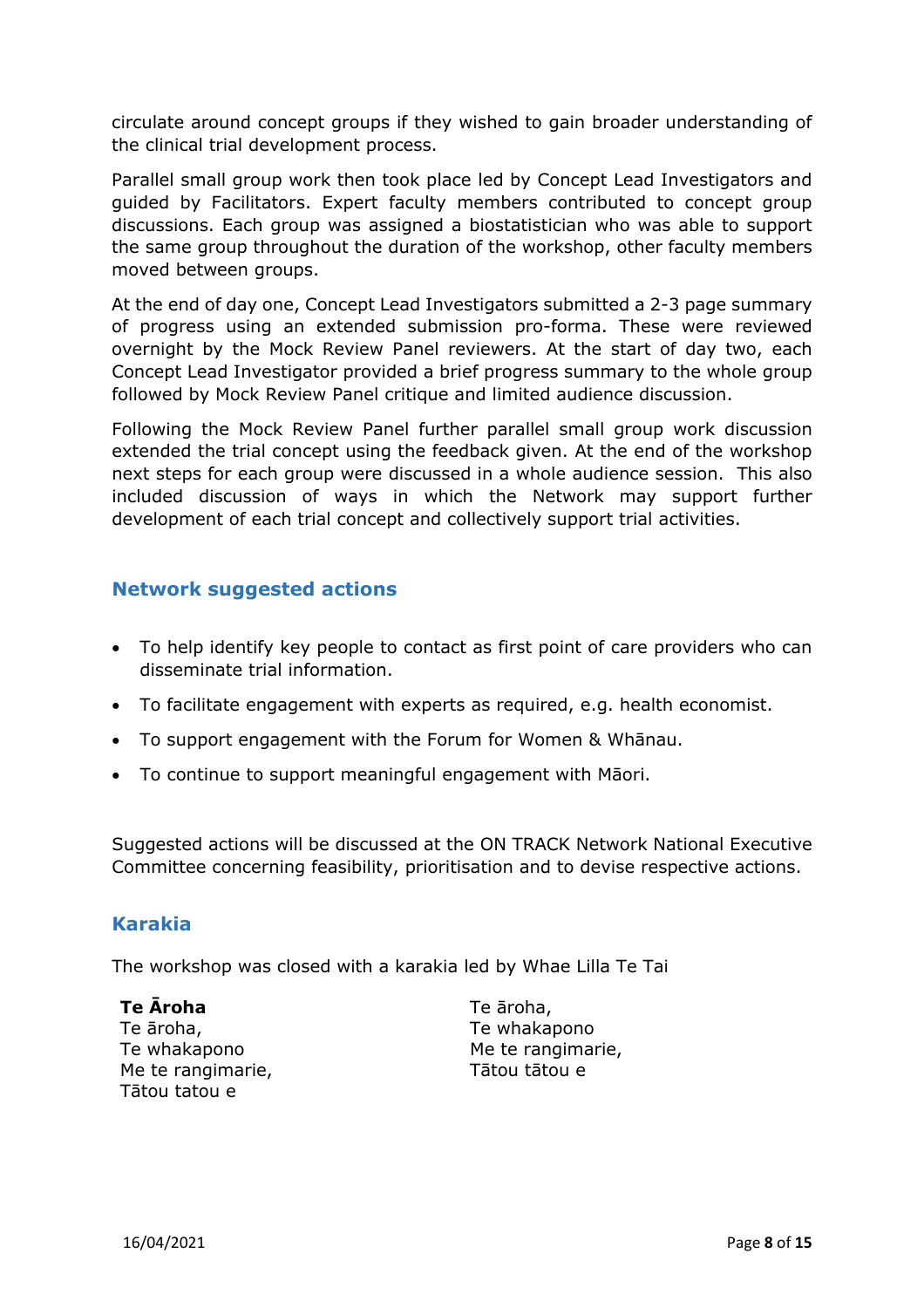circulate around concept groups if they wished to gain broader understanding of the clinical trial development process.

Parallel small group work then took place led by Concept Lead Investigators and guided by Facilitators. Expert faculty members contributed to concept group discussions. Each group was assigned a biostatistician who was able to support the same group throughout the duration of the workshop, other faculty members moved between groups.

At the end of day one, Concept Lead Investigators submitted a 2-3 page summary of progress using an extended submission pro-forma. These were reviewed overnight by the Mock Review Panel reviewers. At the start of day two, each Concept Lead Investigator provided a brief progress summary to the whole group followed by Mock Review Panel critique and limited audience discussion.

Following the Mock Review Panel further parallel small group work discussion extended the trial concept using the feedback given. At the end of the workshop next steps for each group were discussed in a whole audience session. This also included discussion of ways in which the Network may support further development of each trial concept and collectively support trial activities.

## **Network suggested actions**

- To help identify key people to contact as first point of care providers who can disseminate trial information.
- To facilitate engagement with experts as required, e.g. health economist.
- To support engagement with the Forum for Women & Whānau.
- To continue to support meaningful engagement with Māori.

Suggested actions will be discussed at the ON TRACK Network National Executive Committee concerning feasibility, prioritisation and to devise respective actions.

## **Karakia**

The workshop was closed with a karakia led by Whae Lilla Te Tai

**Te Āroha** Te āroha, Te whakapono Me te rangimarie, Tātou tatou e

Te āroha, Te whakapono Me te rangimarie, Tātou tātou e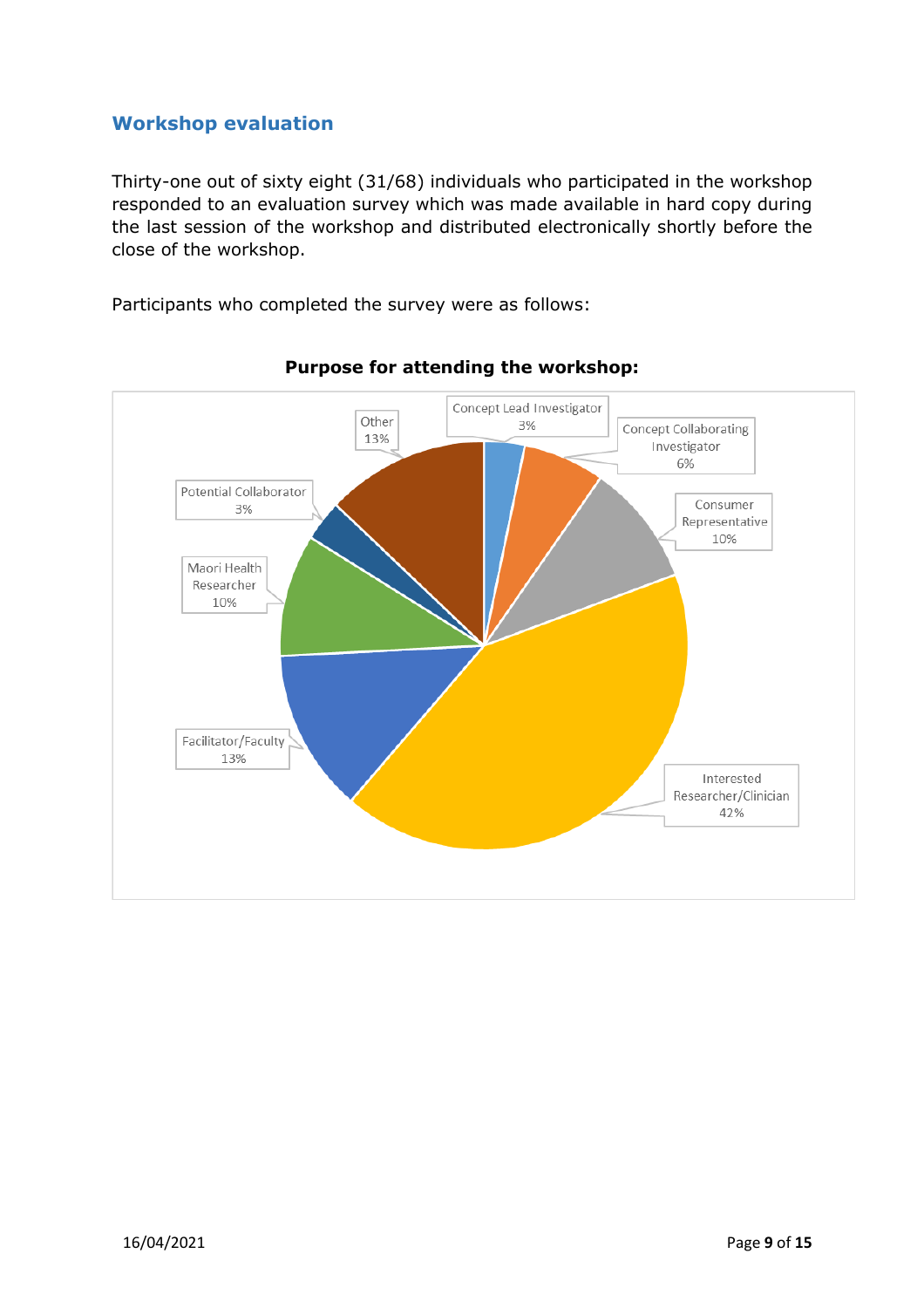## **Workshop evaluation**

Thirty-one out of sixty eight (31/68) individuals who participated in the workshop responded to an evaluation survey which was made available in hard copy during the last session of the workshop and distributed electronically shortly before the close of the workshop.

Participants who completed the survey were as follows:



## **Purpose for attending the workshop:**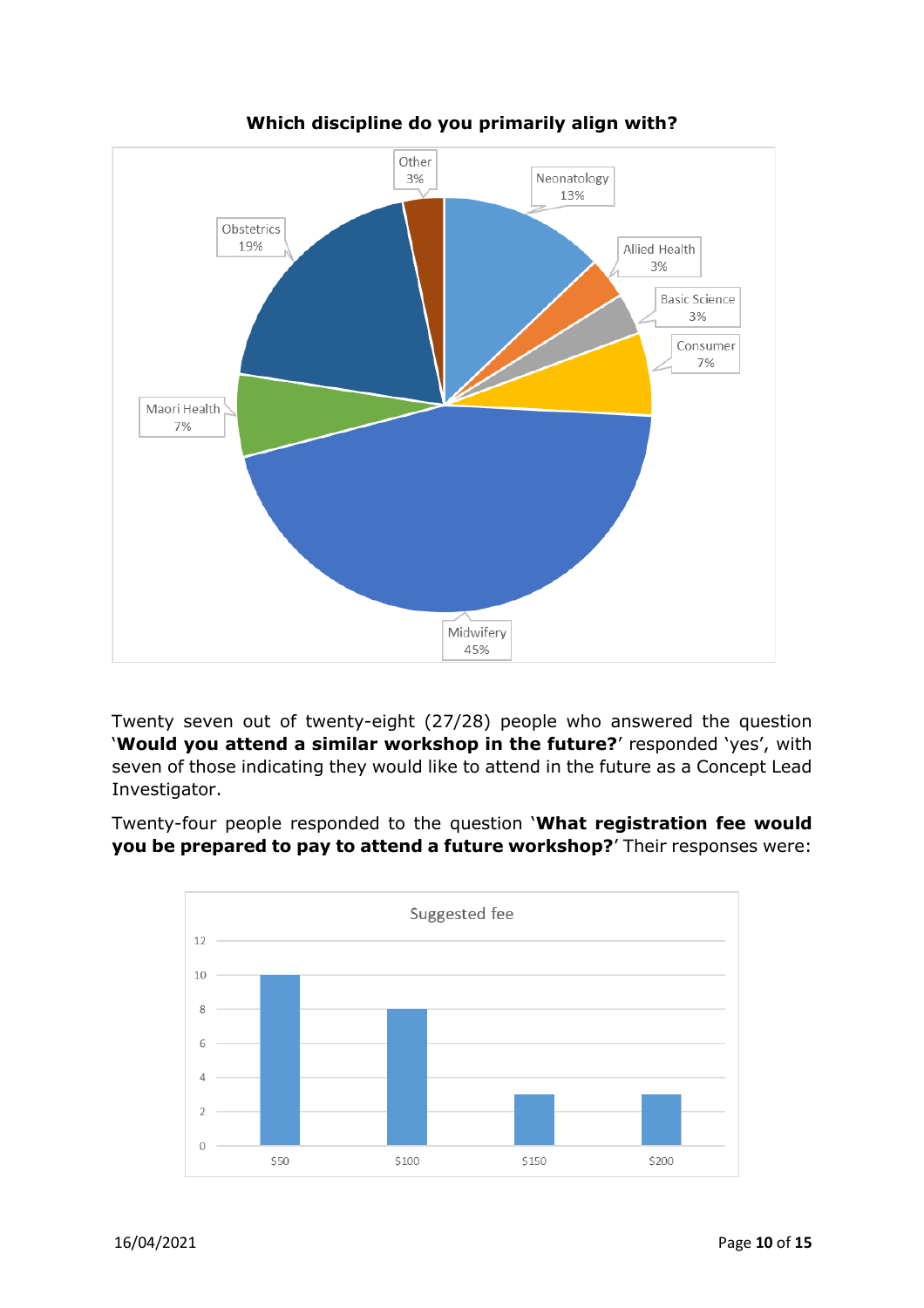

## **Which discipline do you primarily align with?**

Twenty seven out of twenty-eight (27/28) people who answered the question '**Would you attend a similar workshop in the future?**' responded 'yes', with seven of those indicating they would like to attend in the future as a Concept Lead Investigator.

Twenty-four people responded to the question '**What registration fee would you be prepared to pay to attend a future workshop?**' Their responses were:

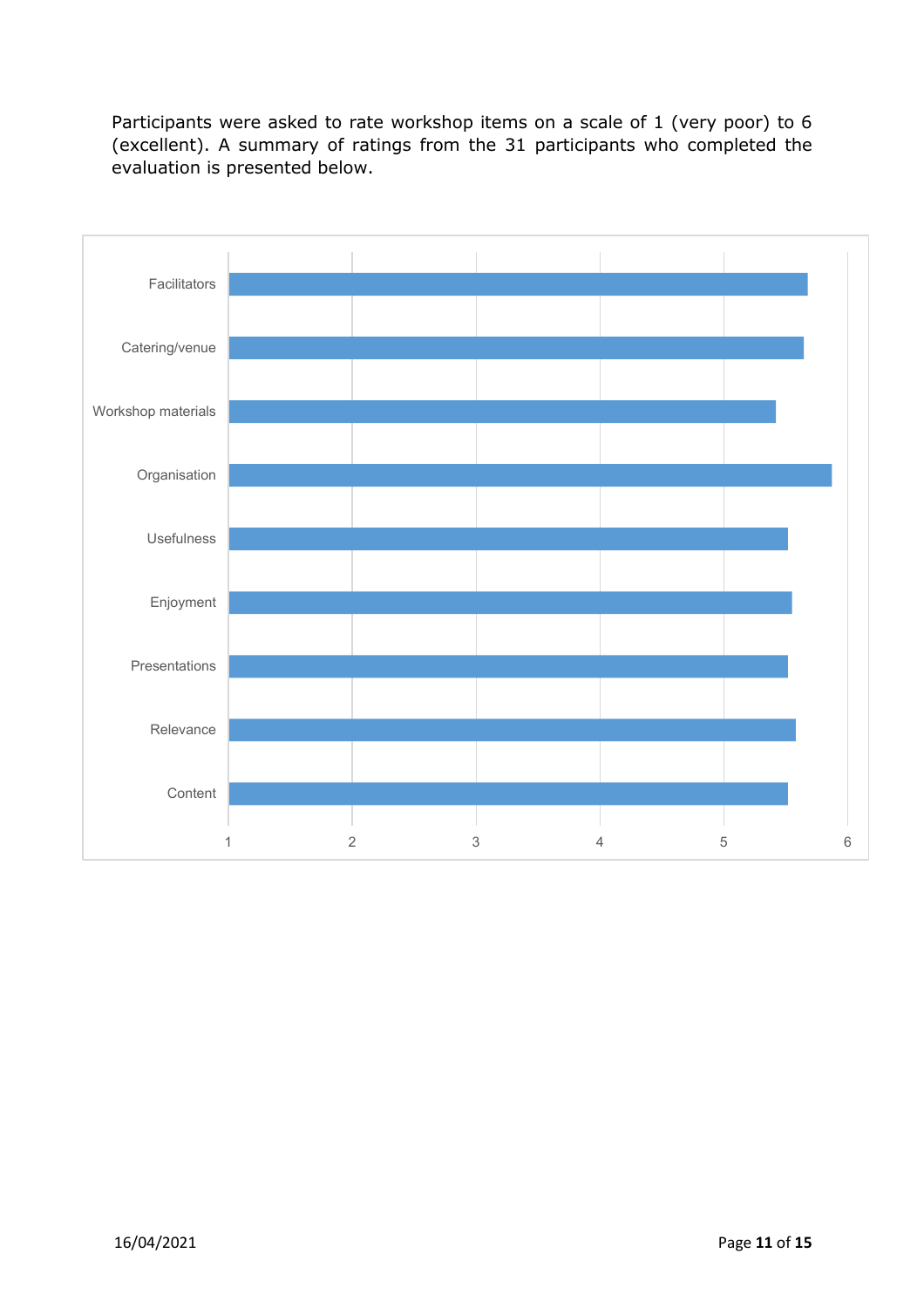Participants were asked to rate workshop items on a scale of 1 (very poor) to 6 (excellent). A summary of ratings from the 31 participants who completed the evaluation is presented below.

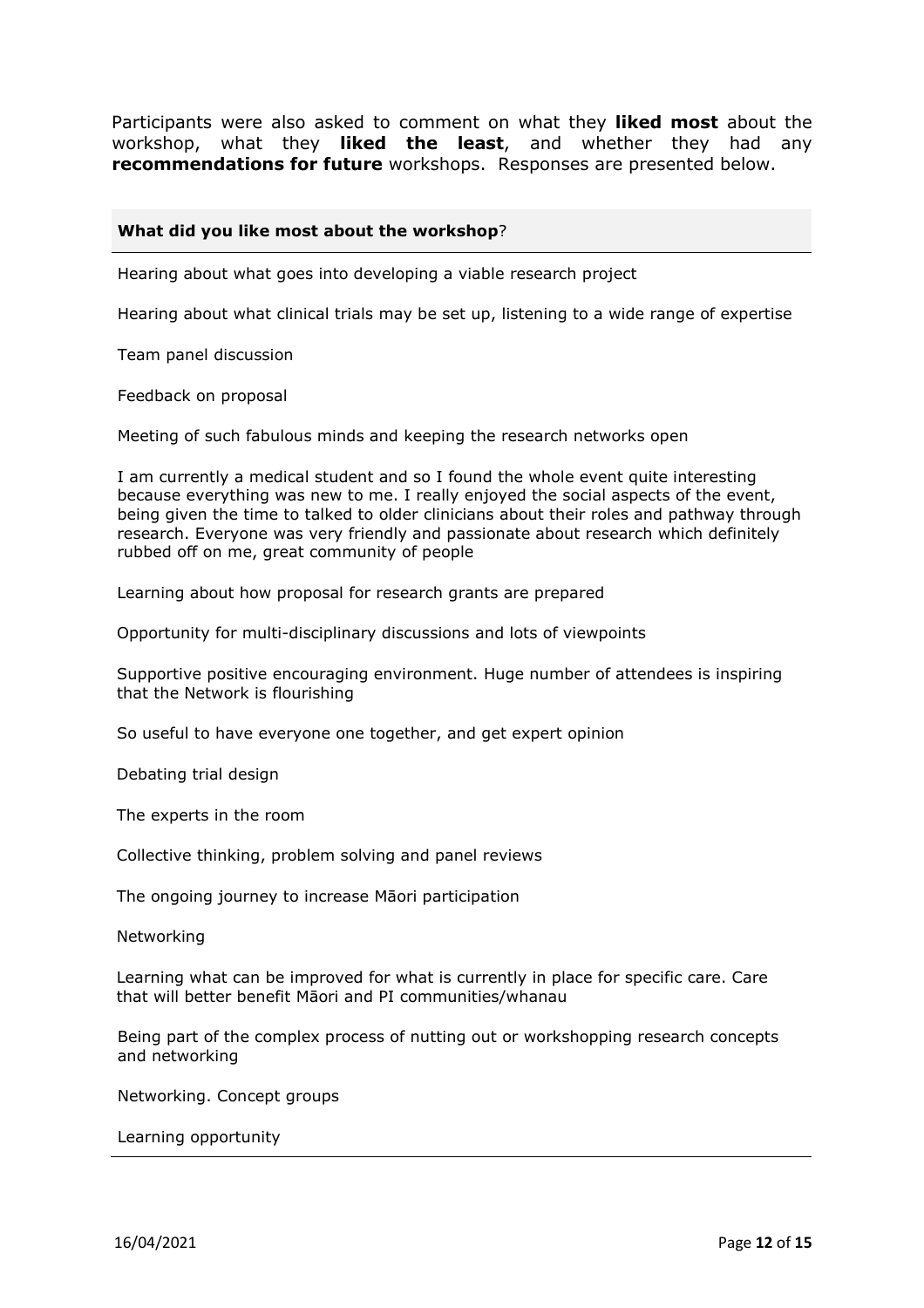Participants were also asked to comment on what they **liked most** about the workshop, what they **liked the least**, and whether they had any **recommendations for future** workshops. Responses are presented below.

#### **What did you like most about the workshop**?

Hearing about what goes into developing a viable research project

Hearing about what clinical trials may be set up, listening to a wide range of expertise

Team panel discussion

Feedback on proposal

Meeting of such fabulous minds and keeping the research networks open

I am currently a medical student and so I found the whole event quite interesting because everything was new to me. I really enjoyed the social aspects of the event, being given the time to talked to older clinicians about their roles and pathway through research. Everyone was very friendly and passionate about research which definitely rubbed off on me, great community of people

Learning about how proposal for research grants are prepared

Opportunity for multi-disciplinary discussions and lots of viewpoints

Supportive positive encouraging environment. Huge number of attendees is inspiring that the Network is flourishing

So useful to have everyone one together, and get expert opinion

Debating trial design

The experts in the room

Collective thinking, problem solving and panel reviews

The ongoing journey to increase Māori participation

Networking

Learning what can be improved for what is currently in place for specific care. Care that will better benefit Māori and PI communities/whanau

Being part of the complex process of nutting out or workshopping research concepts and networking

Networking. Concept groups

Learning opportunity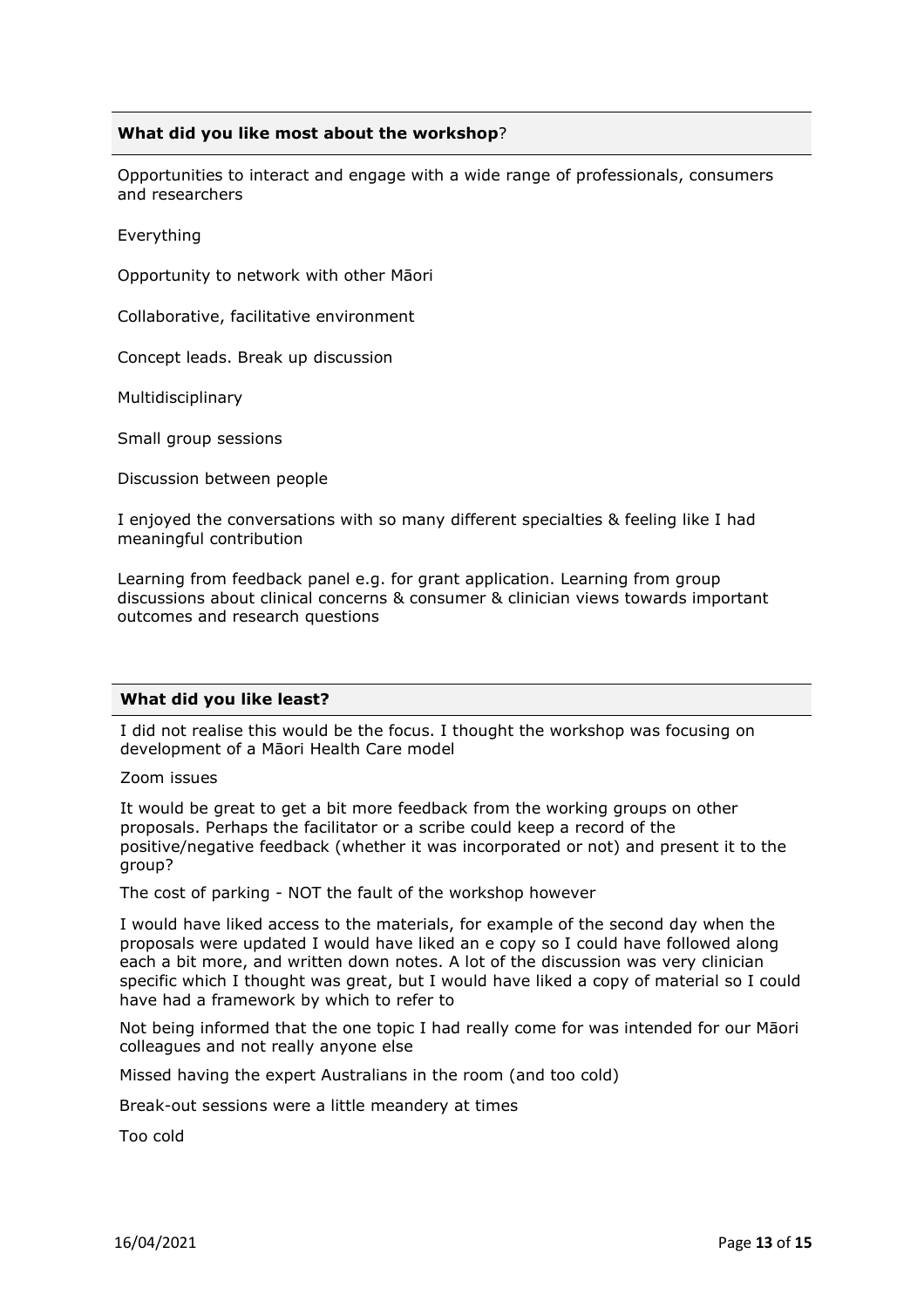#### **What did you like most about the workshop**?

Opportunities to interact and engage with a wide range of professionals, consumers and researchers

Everything

Opportunity to network with other Māori

Collaborative, facilitative environment

Concept leads. Break up discussion

Multidisciplinary

Small group sessions

Discussion between people

I enjoyed the conversations with so many different specialties & feeling like I had meaningful contribution

Learning from feedback panel e.g. for grant application. Learning from group discussions about clinical concerns & consumer & clinician views towards important outcomes and research questions

#### **What did you like least?**

I did not realise this would be the focus. I thought the workshop was focusing on development of a Māori Health Care model

Zoom issues

It would be great to get a bit more feedback from the working groups on other proposals. Perhaps the facilitator or a scribe could keep a record of the positive/negative feedback (whether it was incorporated or not) and present it to the group?

The cost of parking - NOT the fault of the workshop however

I would have liked access to the materials, for example of the second day when the proposals were updated I would have liked an e copy so I could have followed along each a bit more, and written down notes. A lot of the discussion was very clinician specific which I thought was great, but I would have liked a copy of material so I could have had a framework by which to refer to

Not being informed that the one topic I had really come for was intended for our Māori colleagues and not really anyone else

Missed having the expert Australians in the room (and too cold)

Break-out sessions were a little meandery at times

Too cold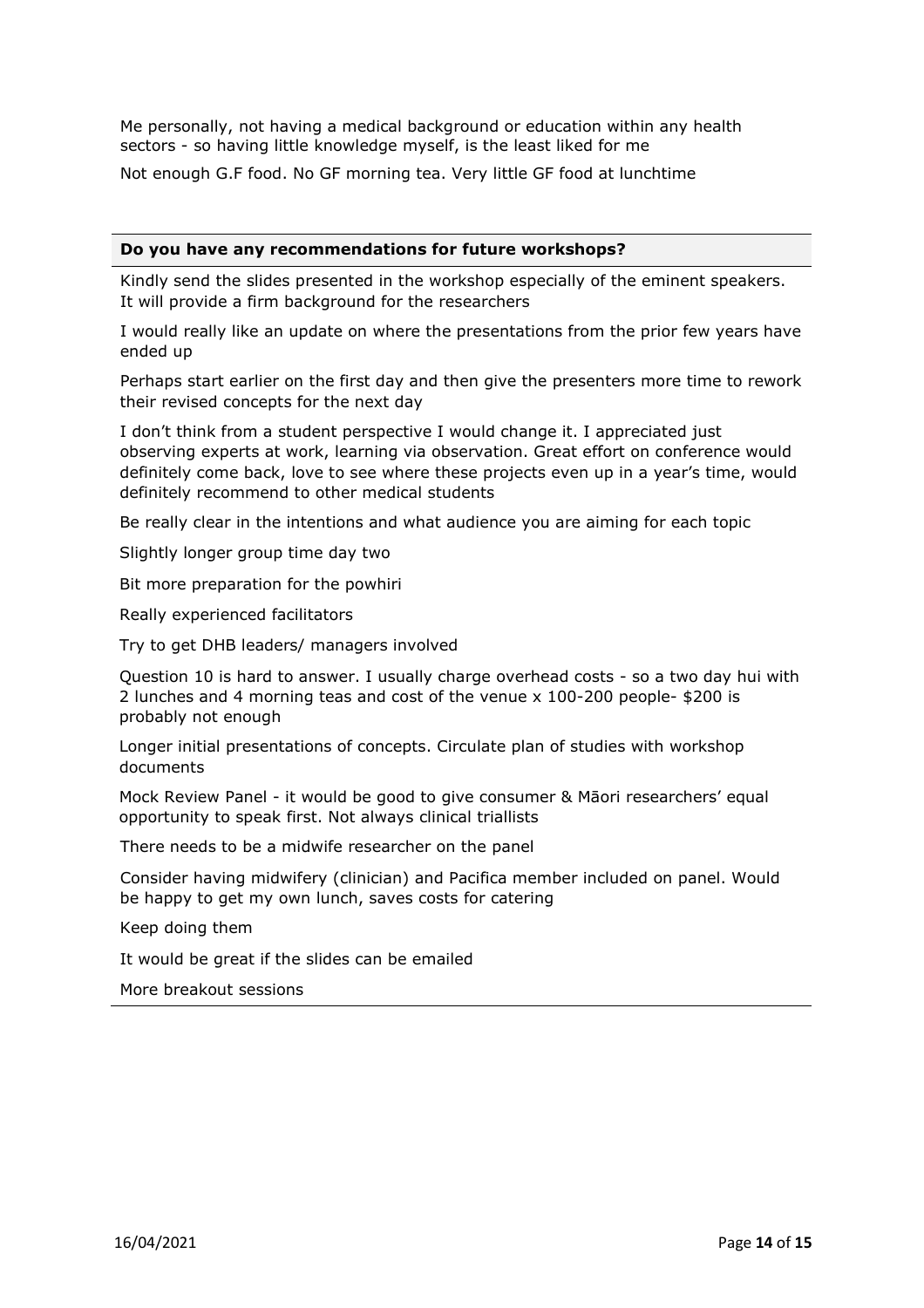Me personally, not having a medical background or education within any health sectors - so having little knowledge myself, is the least liked for me

Not enough G.F food. No GF morning tea. Very little GF food at lunchtime

#### **Do you have any recommendations for future workshops?**

Kindly send the slides presented in the workshop especially of the eminent speakers. It will provide a firm background for the researchers

I would really like an update on where the presentations from the prior few years have ended up

Perhaps start earlier on the first day and then give the presenters more time to rework their revised concepts for the next day

I don't think from a student perspective I would change it. I appreciated just observing experts at work, learning via observation. Great effort on conference would definitely come back, love to see where these projects even up in a year's time, would definitely recommend to other medical students

Be really clear in the intentions and what audience you are aiming for each topic

Slightly longer group time day two

Bit more preparation for the powhiri

Really experienced facilitators

Try to get DHB leaders/ managers involved

Question 10 is hard to answer. I usually charge overhead costs - so a two day hui with 2 lunches and 4 morning teas and cost of the venue x 100-200 people- \$200 is probably not enough

Longer initial presentations of concepts. Circulate plan of studies with workshop documents

Mock Review Panel - it would be good to give consumer & Māori researchers' equal opportunity to speak first. Not always clinical triallists

There needs to be a midwife researcher on the panel

Consider having midwifery (clinician) and Pacifica member included on panel. Would be happy to get my own lunch, saves costs for catering

Keep doing them

It would be great if the slides can be emailed

More breakout sessions